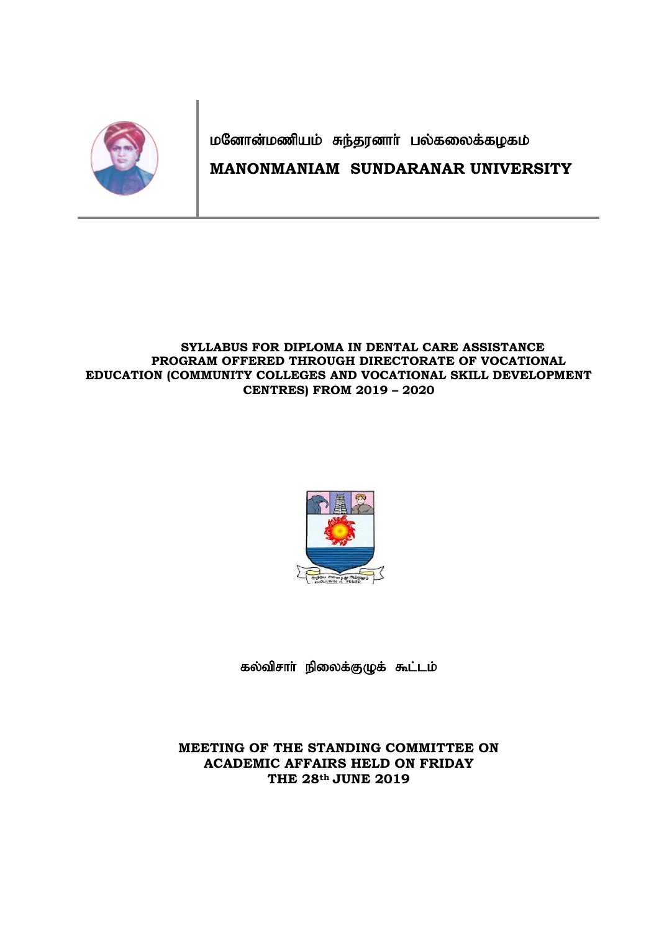

மனோன்மணியம் சுந்தரனாா் பல்கலைக்கழகம் **MANONMANIAM SUNDARANAR UNIVERSITY**

### **SYLLABUS FOR DIPLOMA IN DENTAL CARE ASSISTANCE PROGRAM OFFERED THROUGH DIRECTORATE OF VOCATIONAL EDUCATION (COMMUNITY COLLEGES AND VOCATIONAL SKILL DEVELOPMENT CENTRES) FROM 2019 – 2020**



கல்விசாா் நிலைக்குழுக் கூட்டம்

**MEETING OF THE STANDING COMMITTEE ON ACADEMIC AFFAIRS HELD ON FRIDAY THE 28th JUNE 2019**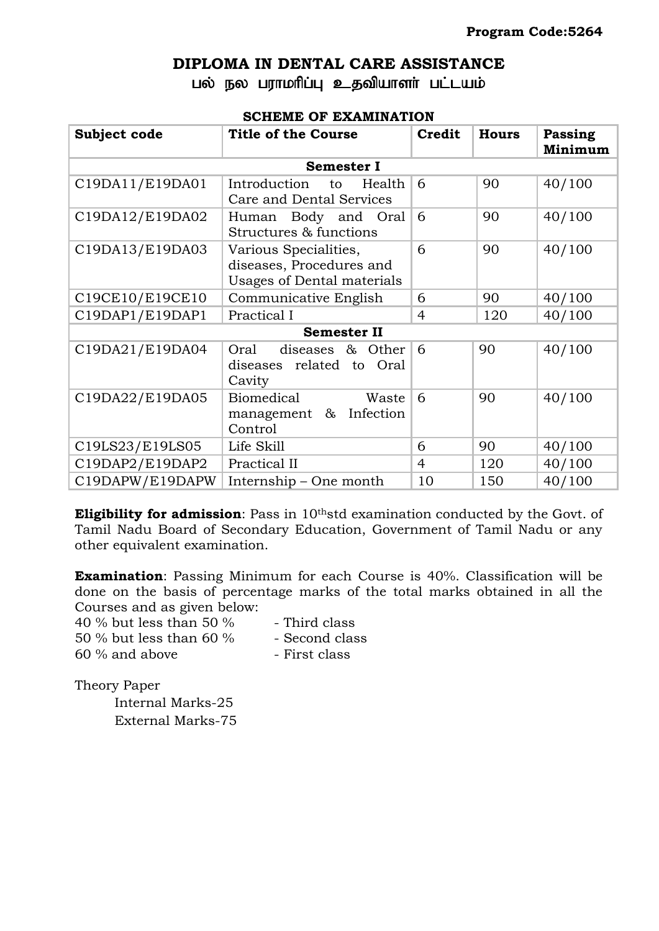### **DIPLOMA IN DENTAL CARE ASSISTANCE**

பல் நல பராமரிப்பு உதவியாளர் பட்டயம்

### **SCHEME OF EXAMINATION**

| Subject code       | <b>Title of the Course</b>                                                      | Credit         | <b>Hours</b> | Passing<br>Minimum |  |  |  |
|--------------------|---------------------------------------------------------------------------------|----------------|--------------|--------------------|--|--|--|
| <b>Semester I</b>  |                                                                                 |                |              |                    |  |  |  |
| C19DA11/E19DA01    | Introduction<br>to<br>Health<br>Care and Dental Services                        | 6              | 90           | 40/100             |  |  |  |
| C19DA12/E19DA02    | Body and Oral<br>Human<br>Structures & functions                                | 6              | 90           | 40/100             |  |  |  |
| C19DA13/E19DA03    | Various Specialities,<br>diseases, Procedures and<br>Usages of Dental materials | 6              | 90           | 40/100             |  |  |  |
| C19CE10/E19CE10    | Communicative English                                                           | 6              | 90           | 40/100             |  |  |  |
| C19DAP1/E19DAP1    | Practical I                                                                     | $\overline{4}$ | 120          | 40/100             |  |  |  |
| <b>Semester II</b> |                                                                                 |                |              |                    |  |  |  |
| C19DA21/E19DA04    | diseases &<br>Oral<br>Other<br>diseases related to Oral<br>Cavity               | 6              | 90           | 40/100             |  |  |  |
| C19DA22/E19DA05    | Biomedical<br>Waste<br>management & Infection<br>Control                        | 6              | 90           | 40/100             |  |  |  |
| C19LS23/E19LS05    | Life Skill                                                                      | 6              | 90           | 40/100             |  |  |  |
| C19DAP2/E19DAP2    | Practical II                                                                    | $\overline{4}$ | 120          | 40/100             |  |  |  |
| C19DAPW/E19DAPW    | Internship – One month                                                          | 10             | 150          | 40/100             |  |  |  |

**Eligibility for admission**: Pass in 10<sup>th</sup>std examination conducted by the Govt. of Tamil Nadu Board of Secondary Education, Government of Tamil Nadu or any other equivalent examination.

**Examination**: Passing Minimum for each Course is 40%. Classification will be done on the basis of percentage marks of the total marks obtained in all the Courses and as given below:

40 % but less than 50 % - Third class

- 50 % but less than 60 % Second class
- 60 % and above First class

Theory Paper

Internal Marks-25 External Marks-75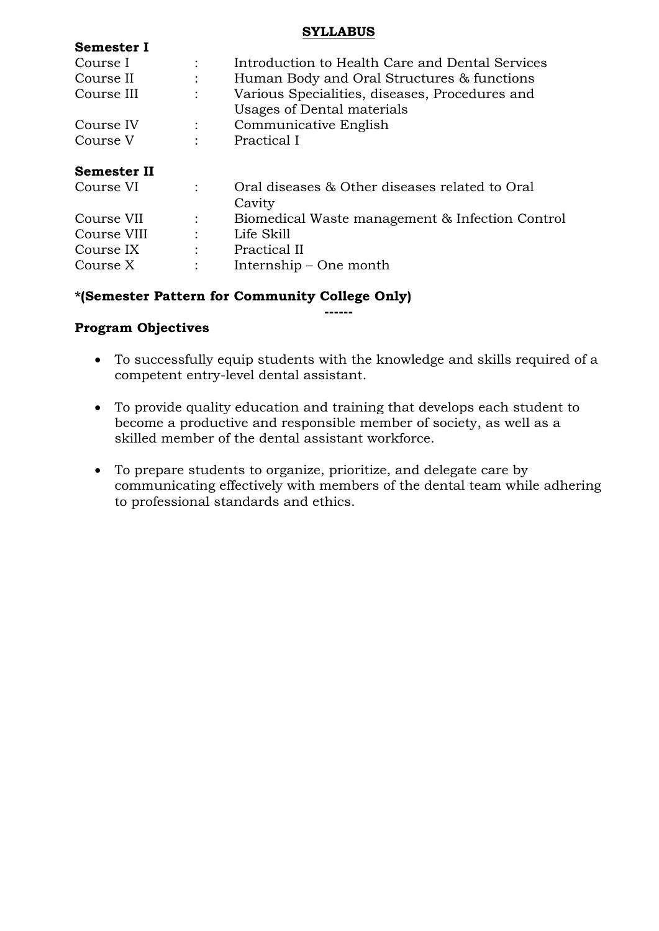### **SYLLABUS**

| DUMUSLUI I         |                |                                                                              |
|--------------------|----------------|------------------------------------------------------------------------------|
| Course I           |                | Introduction to Health Care and Dental Services                              |
| Course II          |                | Human Body and Oral Structures & functions                                   |
| Course III         | $\ddot{\cdot}$ | Various Specialities, diseases, Procedures and<br>Usages of Dental materials |
| Course IV          |                | Communicative English                                                        |
| Course V           |                | Practical I                                                                  |
| <b>Semester II</b> |                |                                                                              |
| Course VI          |                | Oral diseases & Other diseases related to Oral<br>Cavity                     |
| Course VII         | $\ddot{\cdot}$ | Biomedical Waste management & Infection Control                              |
| Course VIII        | $\ddot{\cdot}$ | Life Skill                                                                   |
| Course IX          | $\ddot{\cdot}$ | Practical II                                                                 |
| Course X           |                | Internship – One month                                                       |
|                    |                |                                                                              |

## **\*(Semester Pattern for Community College Only)**

### **Program Objectives**

**Semester I**

 To successfully equip students with the knowledge and skills required of a competent entry-level dental assistant.

**------**

- To provide quality education and training that develops each student to become a productive and responsible member of society, as well as a skilled member of the dental assistant workforce.
- To prepare students to organize, prioritize, and delegate care by communicating effectively with members of the dental team while adhering to professional standards and ethics.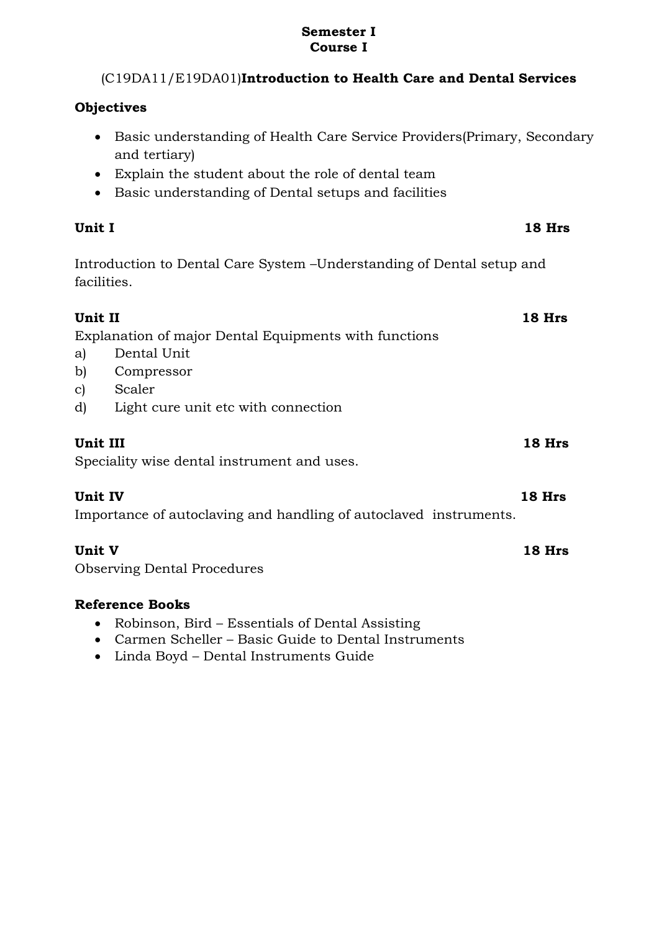### **Semester I Course I**

# (C19DA11/E19DA01)**Introduction to Health Care and Dental Services**

# **Objectives**

- Basic understanding of Health Care Service Providers(Primary, Secondary and tertiary)
- Explain the student about the role of dental team
- Basic understanding of Dental setups and facilities

# **Unit I 18 Hrs**

Introduction to Dental Care System –Understanding of Dental setup and facilities.

|                                                       | Unit II        | $18$ Hrs |
|-------------------------------------------------------|----------------|----------|
| Explanation of major Dental Equipments with functions |                |          |
|                                                       | a) Dental Unit |          |
|                                                       | b) Compressor  |          |

- c) Scaler
- d) Light cure unit etc with connection

# **Unit III 18 Hrs**

Speciality wise dental instrument and uses.

# **Unit IV 18 Hrs**

Importance of autoclaving and handling of autoclaved instruments.

# **Unit V 18 Hrs**

Observing Dental Procedures

- Robinson, Bird Essentials of Dental Assisting
- Carmen Scheller Basic Guide to Dental Instruments
- Linda Boyd Dental Instruments Guide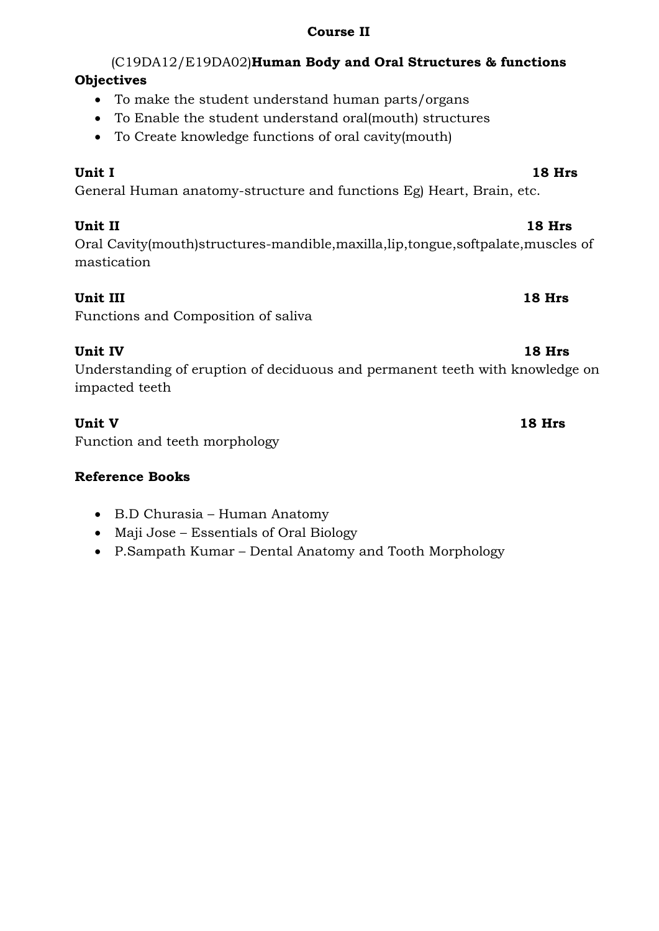## **Course II**

# (C19DA12/E19DA02)**Human Body and Oral Structures & functions Objectives**

- To make the student understand human parts/organs
- To Enable the student understand oral(mouth) structures
- To Create knowledge functions of oral cavity(mouth)

# **Unit I 18 Hrs**

General Human anatomy-structure and functions Eg) Heart, Brain, etc.

# **Unit II 18 Hrs**

Oral Cavity(mouth)structures-mandible,maxilla,lip,tongue,softpalate,muscles of mastication

# **Unit III 18 Hrs**

Functions and Composition of saliva

# **Unit IV 18 Hrs**

Understanding of eruption of deciduous and permanent teeth with knowledge on impacted teeth

# **Unit V 18 Hrs**

Function and teeth morphology

- B.D Churasia Human Anatomy
- Maji Jose Essentials of Oral Biology
- P.Sampath Kumar Dental Anatomy and Tooth Morphology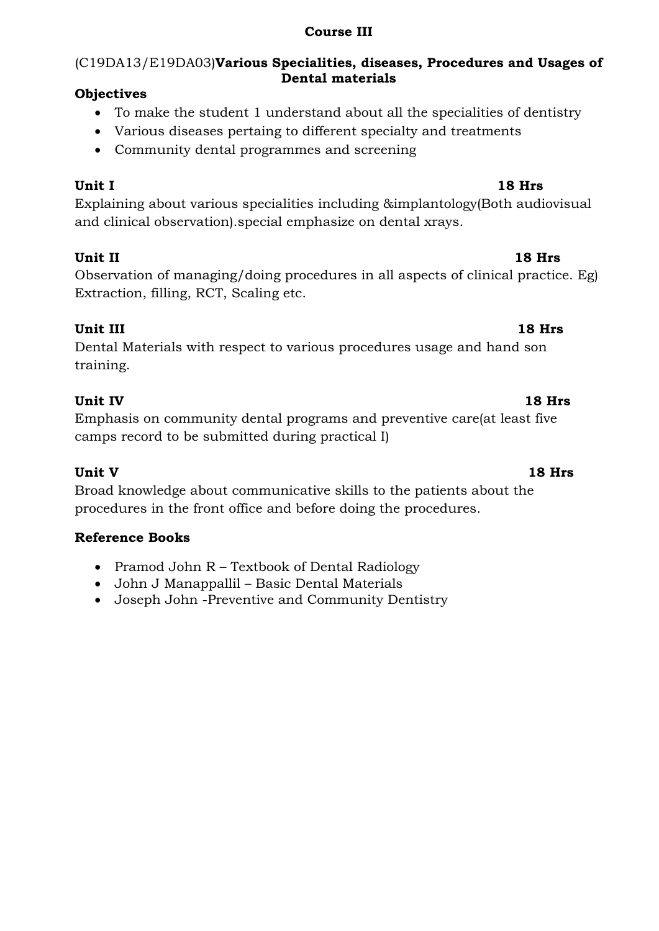# **Course III**

# (C19DA13/E19DA03)**Various Specialities, diseases, Procedures and Usages of Dental materials**

# **Objectives**

- To make the student 1 understand about all the specialities of dentistry
- Various diseases pertaing to different specialty and treatments
- Community dental programmes and screening

**Unit I 18 Hrs** Explaining about various specialities including &implantology(Both audiovisual and clinical observation).special emphasize on dental xrays.

# **Unit II 18 Hrs**

Observation of managing/doing procedures in all aspects of clinical practice. Eg) Extraction, filling, RCT, Scaling etc.

# **Unit III 18 Hrs**

Dental Materials with respect to various procedures usage and hand son training.

# **Unit IV 18 Hrs**

Emphasis on community dental programs and preventive care(at least five camps record to be submitted during practical I)

Broad knowledge about communicative skills to the patients about the procedures in the front office and before doing the procedures.

# **Reference Books**

- Pramod John R Textbook of Dental Radiology
- John J Manappallil Basic Dental Materials
- Joseph John -Preventive and Community Dentistry

# **Unit V 18 Hrs**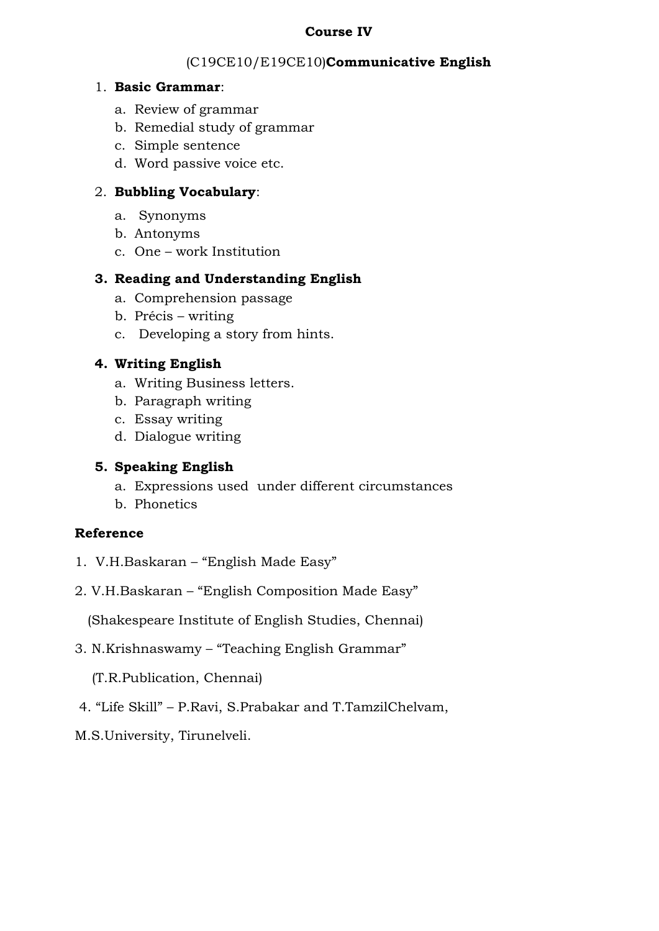### **Course IV**

# (C19CE10/E19CE10)**Communicative English**

### 1. **Basic Grammar**:

- a. Review of grammar
- b. Remedial study of grammar
- c. Simple sentence
- d. Word passive voice etc.

# 2. **Bubbling Vocabulary**:

- a. Synonyms
- b. Antonyms
- c. One work Institution

# **3. Reading and Understanding English**

- a. Comprehension passage
- b. Précis writing
- c. Developing a story from hints.

# **4. Writing English**

- a. Writing Business letters.
- b. Paragraph writing
- c. Essay writing
- d. Dialogue writing

# **5. Speaking English**

- a. Expressions used under different circumstances
- b. Phonetics

# **Reference**

- 1. V.H.Baskaran "English Made Easy"
- 2. V.H.Baskaran "English Composition Made Easy"

(Shakespeare Institute of English Studies, Chennai)

3. N.Krishnaswamy – "Teaching English Grammar"

(T.R.Publication, Chennai)

- 4. "Life Skill" P.Ravi, S.Prabakar and T.TamzilChelvam,
- M.S.University, Tirunelveli.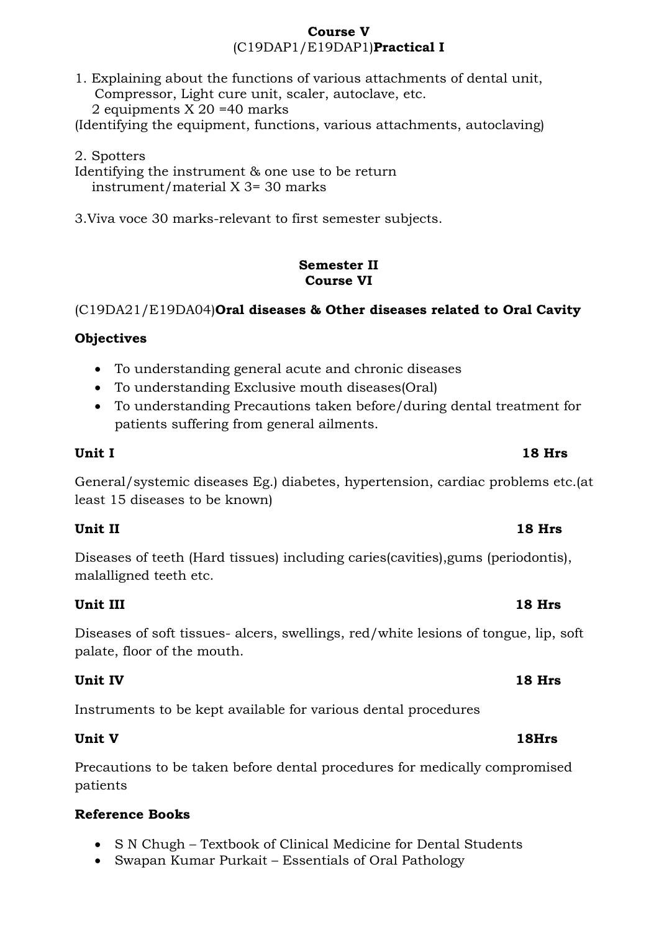### **Course V** (C19DAP1/E19DAP1)**Practical I**

1. Explaining about the functions of various attachments of dental unit, Compressor, Light cure unit, scaler, autoclave, etc. 2 equipments X 20 =40 marks (Identifying the equipment, functions, various attachments, autoclaving)

2. Spotters Identifying the instrument & one use to be return instrument/material X 3= 30 marks

3.Viva voce 30 marks-relevant to first semester subjects.

### **Semester II Course VI**

# (C19DA21/E19DA04)**Oral diseases & Other diseases related to Oral Cavity**

# **Objectives**

- To understanding general acute and chronic diseases
- To understanding Exclusive mouth diseases(Oral)
- To understanding Precautions taken before/during dental treatment for patients suffering from general ailments.

## **Unit I 18 Hrs**

General/systemic diseases Eg.) diabetes, hypertension, cardiac problems etc.(at least 15 diseases to be known)

# **Unit II 18 Hrs**

Diseases of teeth (Hard tissues) including caries(cavities),gums (periodontis), malalligned teeth etc.

# **Unit III 18 Hrs**

Diseases of soft tissues- alcers, swellings, red/white lesions of tongue, lip, soft palate, floor of the mouth.

# **Unit IV 18 Hrs**

Instruments to be kept available for various dental procedures

# **Unit V 18Hrs**

Precautions to be taken before dental procedures for medically compromised patients

- S N Chugh Textbook of Clinical Medicine for Dental Students
- Swapan Kumar Purkait Essentials of Oral Pathology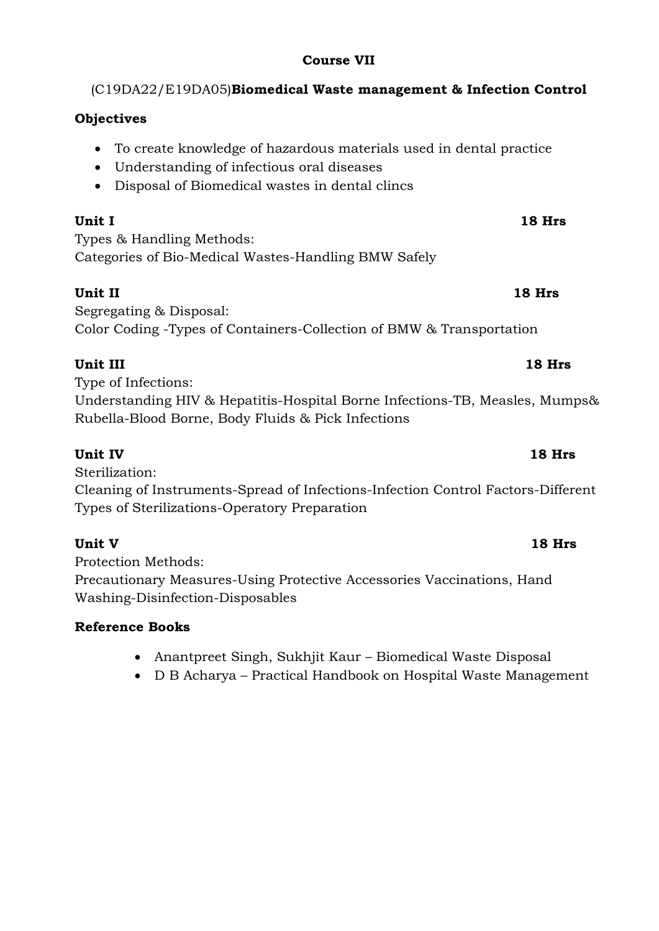# **Course VII**

# (C19DA22/E19DA05)**Biomedical Waste management & Infection Control**

# **Objectives**

- To create knowledge of hazardous materials used in dental practice
- Understanding of infectious oral diseases
- Disposal of Biomedical wastes in dental clincs

**Unit I 18 Hrs**

Types & Handling Methods: Categories of Bio-Medical Wastes-Handling BMW Safely

**Unit II 18 Hrs**

Segregating & Disposal: Color Coding -Types of Containers-Collection of BMW & Transportation

# **Unit III** 18 Hrs

Type of Infections: Understanding HIV & Hepatitis-Hospital Borne Infections-TB, Measles, Mumps& Rubella-Blood Borne, Body Fluids & Pick Infections

# **Unit IV 18 Hrs**

Sterilization:

Cleaning of Instruments-Spread of Infections-Infection Control Factors-Different Types of Sterilizations-Operatory Preparation

# **Unit V 18 Hrs**

Protection Methods: Precautionary Measures-Using Protective Accessories Vaccinations, Hand Washing-Disinfection-Disposables

- Anantpreet Singh, Sukhjit Kaur Biomedical Waste Disposal
- D B Acharya Practical Handbook on Hospital Waste Management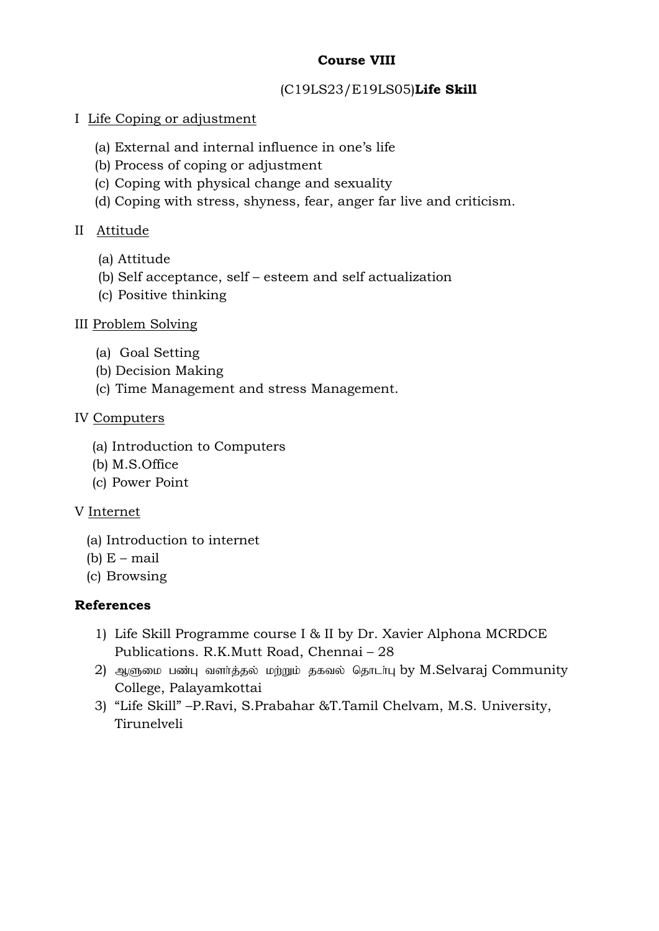# **Course VIII**

## (C19LS23/E19LS05)**Life Skill**

## I Life Coping or adjustment

- (a) External and internal influence in one's life
- (b) Process of coping or adjustment
- (c) Coping with physical change and sexuality
- (d) Coping with stress, shyness, fear, anger far live and criticism.

## II Attitude

- (a) Attitude
- (b) Self acceptance, self esteem and self actualization
- (c) Positive thinking

## III Problem Solving

- (a) Goal Setting
- (b) Decision Making
- (c) Time Management and stress Management.

## IV Computers

- (a) Introduction to Computers
- (b) M.S.Office
- (c) Power Point

### V Internet

- (a) Introduction to internet
- (b)  $E$  mail
- (c) Browsing

### **References**

- 1) Life Skill Programme course I & II by Dr. Xavier Alphona MCRDCE Publications. R.K.Mutt Road, Chennai – 28
- 2) ஆளுமை பண்பு வளர்த்தல் மற்றும் தகவல் தொடர்பு by M.Selvaraj Community College, Palayamkottai
- 3) "Life Skill" –P.Ravi, S.Prabahar &T.Tamil Chelvam, M.S. University, Tirunelveli